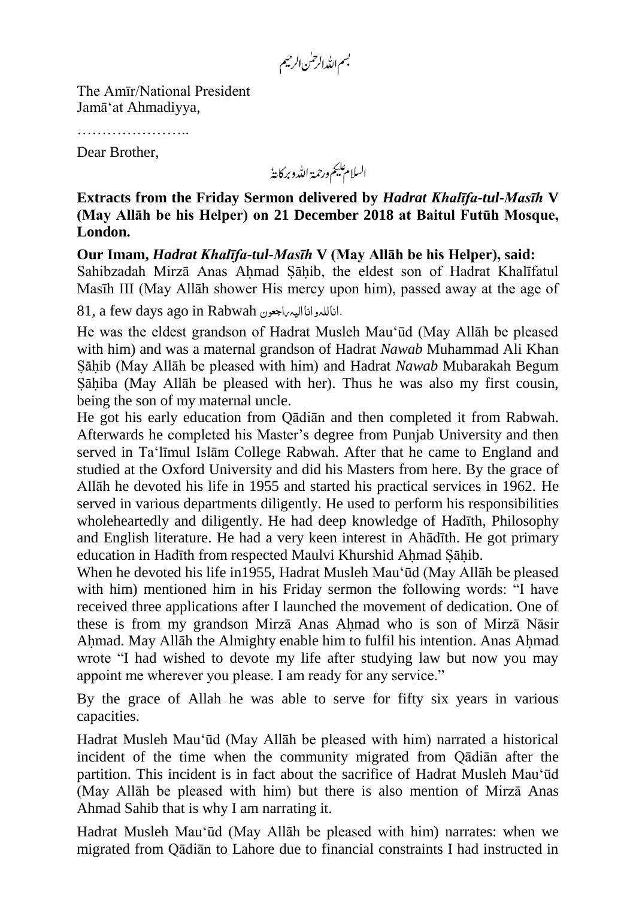بسم الله الرحمٰن الرحيم

The Amīr/National President Jamā'at Ahmadiyya,

Dear Brother,

السلام عليم ورحمة الله وبركايةُ

**Extracts from the Friday Sermon delivered by** *Hadrat Khalīfa-tul-Masīh* **V (May Allāh be his Helper) on 21 December 2018 at Baitul Futūh Mosque, London.**

**Our Imam,** *Hadrat Khalīfa-tul-Masīh* **V (May Allāh be his Helper), said:** Sahibzadah Mirzā Anas Ahmad Sahib, the eldest son of Hadrat Khalīfatul Masīh III (May Allāh shower His mercy upon him), passed away at the age of

81, a few days ago in Rabwah اناللہواناالیہراجعون.

He was the eldest grandson of Hadrat Musleh Mau'ūd (May Allāh be pleased with him) and was a maternal grandson of Hadrat *Nawab* Muhammad Ali Khan Sahib (May Allāh be pleased with him) and Hadrat *Nawab* Mubarakah Begum Sahiba (May Allāh be pleased with her). Thus he was also my first cousin, being the son of my maternal uncle.

He got his early education from Qādiān and then completed it from Rabwah. Afterwards he completed his Master's degree from Punjab University and then served in Ta'līmul Islām College Rabwah. After that he came to England and studied at the Oxford University and did his Masters from here. By the grace of Allāh he devoted his life in 1955 and started his practical services in 1962. He served in various departments diligently. He used to perform his responsibilities wholeheartedly and diligently. He had deep knowledge of Hadīth, Philosophy and English literature. He had a very keen interest in Ahādīth. He got primary education in Hadīth from respected Maulvi Khurshid Ahmad Sahib.

When he devoted his life in1955, Hadrat Musleh Mau'ūd (May Allāh be pleased with him) mentioned him in his Friday sermon the following words: "I have received three applications after I launched the movement of dedication. One of these is from my grandson Mirzā Anas Ahmad who is son of Mirzā Nāsir Ahmad. May Allāh the Almighty enable him to fulfil his intention. Anas Ahmad wrote "I had wished to devote my life after studying law but now you may appoint me wherever you please. I am ready for any service."

By the grace of Allah he was able to serve for fifty six years in various capacities.

Hadrat Musleh Mau'ūd (May Allāh be pleased with him) narrated a historical incident of the time when the community migrated from Qādiān after the partition. This incident is in fact about the sacrifice of Hadrat Musleh Mau'ūd (May Allāh be pleased with him) but there is also mention of Mirzā Anas Ahmad Sahib that is why I am narrating it.

Hadrat Musleh Mau'ūd (May Allāh be pleased with him) narrates: when we migrated from Qādiān to Lahore due to financial constraints I had instructed in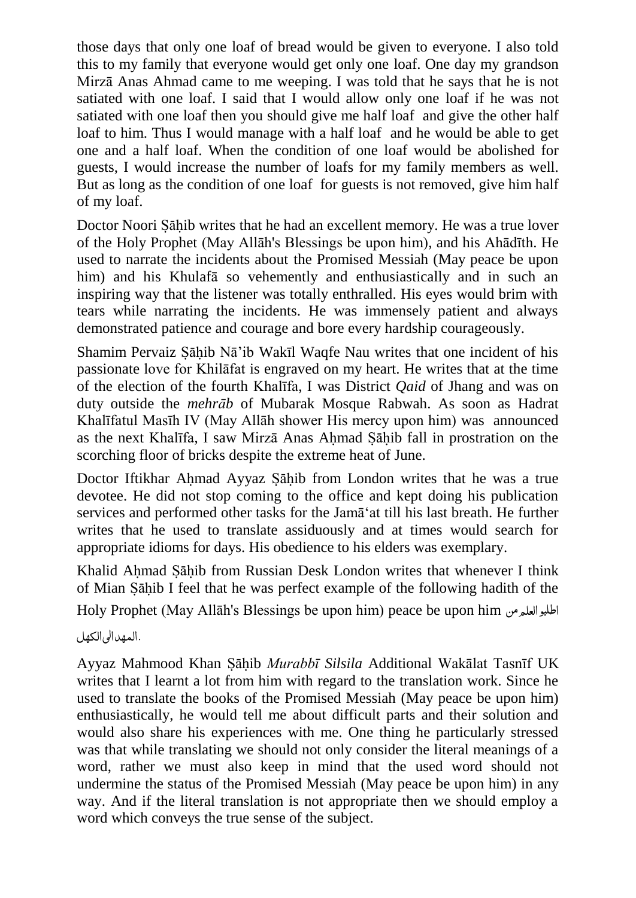those days that only one loaf of bread would be given to everyone. I also told this to my family that everyone would get only one loaf. One day my grandson Mirzā Anas Ahmad came to me weeping. I was told that he says that he is not satiated with one loaf. I said that I would allow only one loaf if he was not satiated with one loaf then you should give me half loaf and give the other half loaf to him. Thus I would manage with a half loaf and he would be able to get one and a half loaf. When the condition of one loaf would be abolished for guests, I would increase the number of loafs for my family members as well. But as long as the condition of one loaf for guests is not removed, give him half of my loaf.

Doctor Noori Sahib writes that he had an excellent memory. He was a true lover of the Holy Prophet (May Allāh's Blessings be upon him), and his Ahādīth. He used to narrate the incidents about the Promised Messiah (May peace be upon him) and his Khulafā so vehemently and enthusiastically and in such an inspiring way that the listener was totally enthralled. His eyes would brim with tears while narrating the incidents. He was immensely patient and always demonstrated patience and courage and bore every hardship courageously.

Shamim Pervaiz Sahib Nā'ib Wakīl Waqfe Nau writes that one incident of his passionate love for Khilāfat is engraved on my heart. He writes that at the time of the election of the fourth Khalīfa, I was District *Qaid* of Jhang and was on duty outside the *mehrāb* of Mubarak Mosque Rabwah. As soon as Hadrat Khalīfatul Masīh IV (May Allāh shower His mercy upon him) was announced as the next Khalīfa, I saw Mirzā Anas Ahmad Sahib fall in prostration on the scorching floor of bricks despite the extreme heat of June.

Doctor Iftikhar Ahmad Ayyaz Sahib from London writes that he was a true devotee. He did not stop coming to the office and kept doing his publication services and performed other tasks for the Jamā'at till his last breath. He further writes that he used to translate assiduously and at times would search for appropriate idioms for days. His obedience to his elders was exemplary.

Khalid Ahmad Sahib from Russian Desk London writes that whenever I think of Mian Sahib I feel that he was perfect example of the following hadith of the Holy Prophet (May Allāh's Blessings be upon him) peace be upon him اطلبوالعلممن

.المھدالیالکھل

Ayyaz Mahmood Khan Sahib *Murabbī Silsila* Additional Wakālat Tasnīf UK writes that I learnt a lot from him with regard to the translation work. Since he used to translate the books of the Promised Messiah (May peace be upon him) enthusiastically, he would tell me about difficult parts and their solution and would also share his experiences with me. One thing he particularly stressed was that while translating we should not only consider the literal meanings of a word, rather we must also keep in mind that the used word should not undermine the status of the Promised Messiah (May peace be upon him) in any way. And if the literal translation is not appropriate then we should employ a word which conveys the true sense of the subject.